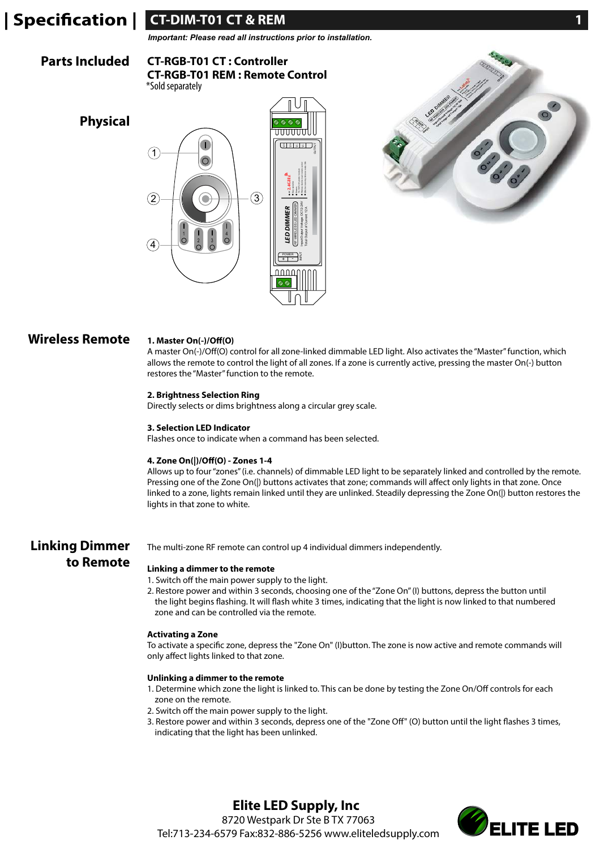# **CT-DIM-T01 CT & REM 1 CT-DIM-T01 CT & REM 1**

*Important: Please read all instructions prior to installation.*

#### **CT-RGB-T01 CT : Controller CT-RGB-T01 REM : Remote Control Parts Included**

\*Sold separately







### **Wireless Remote**

#### 1. Master On(-)/Off(O) A master On(-)/Off(O) control for all zone-linked dimmable LED light. Also activates the "Master" function, which allows the remote to control the light of all zones. If a zone is currently active, pressing the master On(-) button

# restores the "Master" function to the remote. **2. Brightness Selection Ring**

Directly selects or dims brightness along a circular grey scale.

### **3. Selection LED Indicator**

Flashes once to indicate when a command has been selected.

### **4. Zone On(|)/Off(O) - Zones 1-4**

Allows up to four "zones" (i.e. channels) of dimmable LED light to be separately linked and controlled by the remote. Pressing one of the Zone On(|) buttons activates that zone; commands will affect only lights in that zone. Once linked to a zone, lights remain linked until they are unlinked. Steadily depressing the Zone On(|) button restores the lights in that zone to white.

# **Linking Dimmer to Remote**

The multi-zone RF remote can control up 4 individual dimmers independently.

### **Linking a dimmer to the remote**

- 1. Switch off the main power supply to the light.
- 2. Restore power and within 3 seconds, choosing one of the "Zone On" (I) buttons, depress the button until the light begins flashing. It will flash white 3 times, indicating that the light is now linked to that numbered zone and can be controlled via the remote.

### **Activating a Zone**

To activate a specific zone, depress the "Zone On" (I)button. The zone is now active and remote commands will only affect lights linked to that zone.

### **Unlinking a dimmer to the remote**

- 1. Determine which zone the light is linked to. This can be done by testing the Zone On/Off controls for each zone on the remote.
- 2. Switch off the main power supply to the light.
- 3. Restore power and within 3 seconds, depress one of the "Zone Off" (O) button until the light flashes 3 times, indicating that the light has been unlinked.

**Elite LED Supply, Inc** 8720 Westpark Dr Ste B TX 77063 Tel:713-234-6579 Fax:832-886-5256 www.eliteledsupply.com